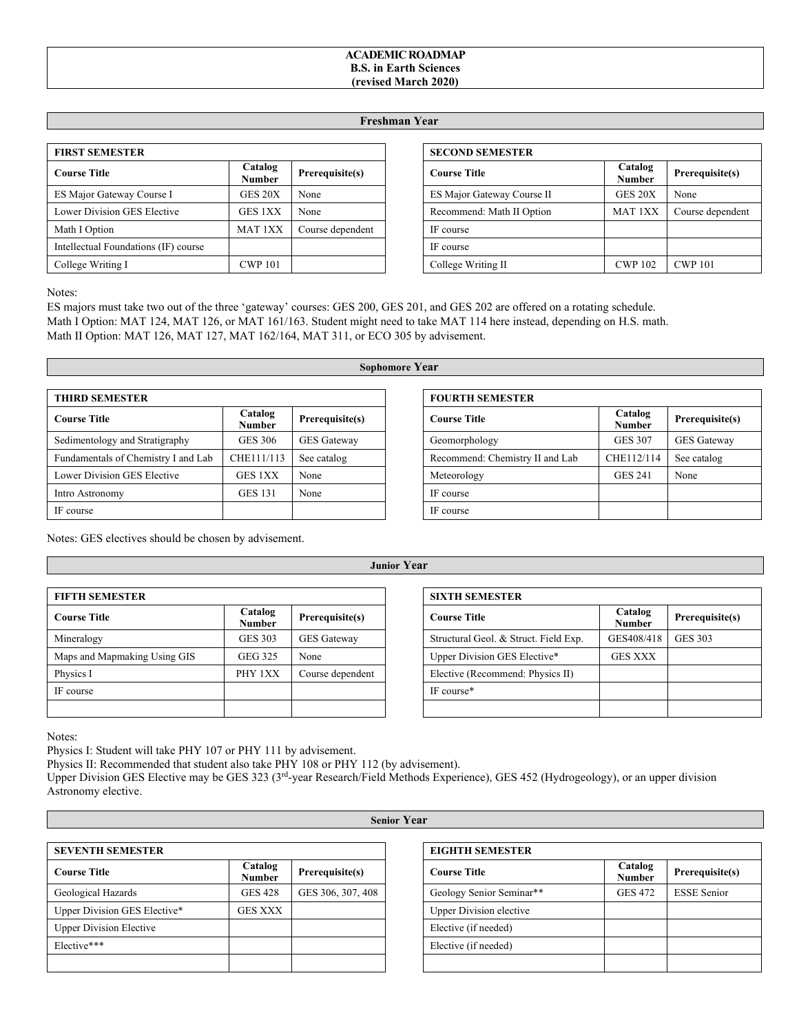## **ACADEMIC ROADMAP B.S. in Earth Sciences (revised March 2020)**

## **Freshman Year**

| <b>FIRST SEMESTER</b>                |                          |                  |
|--------------------------------------|--------------------------|------------------|
| <b>Course Title</b>                  | Catalog<br><b>Number</b> | Prerequisite(s)  |
| ES Major Gateway Course I            | GES 20X                  | None             |
| Lower Division GES Elective          | <b>GES 1XX</b>           | None             |
| Math I Option                        | <b>MAT 1XX</b>           | Course dependent |
| Intellectual Foundations (IF) course |                          |                  |
| College Writing I                    | <b>CWP 101</b>           |                  |

| <b>SECOND SEMESTER</b>     |                          |                  |
|----------------------------|--------------------------|------------------|
| <b>Course Title</b>        | Catalog<br><b>Number</b> | Prerequisite(s)  |
| ES Major Gateway Course II | GES 20X                  | None             |
| Recommend: Math II Option  | MAT <sub>1</sub> XX      | Course dependent |
| IF course                  |                          |                  |
| IF course                  |                          |                  |
| College Writing II         | <b>CWP 102</b>           | <b>CWP 101</b>   |

Notes:

ES majors must take two out of the three 'gateway' courses: GES 200, GES 201, and GES 202 are offered on a rotating schedule. Math I Option: MAT 124, MAT 126, or MAT 161/163. Student might need to take MAT 114 here instead, depending on H.S. math. Math II Option: MAT 126, MAT 127, MAT 162/164, MAT 311, or ECO 305 by advisement.

| <b>THIRD SEMESTER</b>               |                          |                    |
|-------------------------------------|--------------------------|--------------------|
| <b>Course Title</b>                 | Catalog<br><b>Number</b> | Prerequisite(s)    |
| Sedimentology and Stratigraphy      | <b>GES 306</b>           | <b>GES</b> Gateway |
| Fundamentals of Chemistry I and Lab | CHE111/113               | See catalog        |
| Lower Division GES Elective         | GES 1XX                  | None               |
| Intro Astronomy                     | <b>GES 131</b>           | None               |
| IF course                           |                          |                    |

Notes: GES electives should be chosen by advisement.

**Junior Year**

| <b>FIFTH SEMESTER</b>        |                          |                    |
|------------------------------|--------------------------|--------------------|
| <b>Course Title</b>          | Catalog<br><b>Number</b> | Prerequisite(s)    |
| Mineralogy                   | <b>GES 303</b>           | <b>GES</b> Gateway |
| Maps and Mapmaking Using GIS | <b>GEG 325</b>           | None               |
| Physics I                    | PHY 1XX                  | Course dependent   |
| IF course                    |                          |                    |
|                              |                          |                    |

| <b>SIXTH SEMESTER</b>                 |                          |                 |
|---------------------------------------|--------------------------|-----------------|
| <b>Course Title</b>                   | Catalog<br><b>Number</b> | Prerequisite(s) |
| Structural Geol. & Struct. Field Exp. | GES408/418               | <b>GES 303</b>  |
| Upper Division GES Elective*          | <b>GES XXX</b>           |                 |
| Elective (Recommend: Physics II)      |                          |                 |
| IF course*                            |                          |                 |
|                                       |                          |                 |

Notes:

Physics I: Student will take PHY 107 or PHY 111 by advisement.

Physics II: Recommended that student also take PHY 108 or PHY 112 (by advisement).

Upper Division GES Elective may be GES 323 (3rd-year Research/Field Methods Experience), GES 452 (Hydrogeology), or an upper division Astronomy elective.

**Senior Year**

| <b>SEVENTH SEMESTER</b>        |                          |                   |
|--------------------------------|--------------------------|-------------------|
| <b>Course Title</b>            | Catalog<br><b>Number</b> | Prerequisite(s)   |
| Geological Hazards             | <b>GES 428</b>           | GES 306, 307, 408 |
| Upper Division GES Elective*   | <b>GES XXX</b>           |                   |
| <b>Upper Division Elective</b> |                          |                   |
| Elective***                    |                          |                   |
|                                |                          |                   |

| <b>EIGHTH SEMESTER</b>         |                   |                    |
|--------------------------------|-------------------|--------------------|
| <b>Course Title</b>            | Catalog<br>Number | Prerequisite(s)    |
| Geology Senior Seminar**       | <b>GES 472</b>    | <b>ESSE Senior</b> |
| <b>Upper Division elective</b> |                   |                    |
| Elective (if needed)           |                   |                    |
| Elective (if needed)           |                   |                    |
|                                |                   |                    |

## **Sophomore Year**

| <b>FOURTH SEMESTER</b>          |                          |                    |
|---------------------------------|--------------------------|--------------------|
| <b>Course Title</b>             | Catalog<br><b>Number</b> | Prerequisite(s)    |
| Geomorphology                   | <b>GES 307</b>           | <b>GES</b> Gateway |
| Recommend: Chemistry II and Lab | CHE112/114               | See catalog        |
| Meteorology                     | <b>GES 241</b>           | None               |
| IF course                       |                          |                    |
| IF course                       |                          |                    |